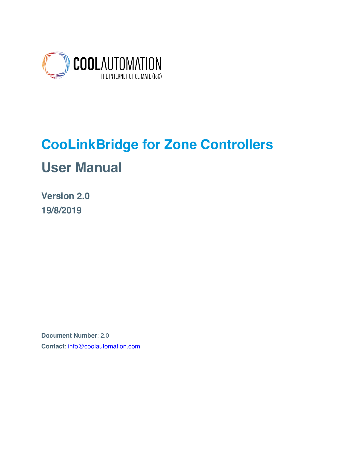

# **CooLinkBridge for Zone Controllers User Manual**

**Version 2.0 19/8/2019**

**Document Number**: 2.0 **Contact**: info@coolautomation.com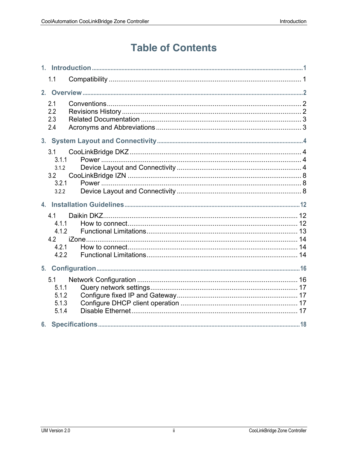# **Table of Contents**

|    | 1.1                                            |  |
|----|------------------------------------------------|--|
| 2. |                                                |  |
|    | 2.1<br>2.2<br>2.3<br>2.4                       |  |
|    |                                                |  |
|    | 3.1<br>3.1.1<br>3.1.2<br>3.2<br>3.2.1<br>3.2.2 |  |
|    |                                                |  |
|    |                                                |  |
|    | 4.1<br>4.1.1<br>4.1.2<br>4.2<br>4.2.1<br>4.2.2 |  |
| 5. |                                                |  |
|    | 5.1<br>5.1.1<br>5.1.2<br>5.1.3<br>5.1.4        |  |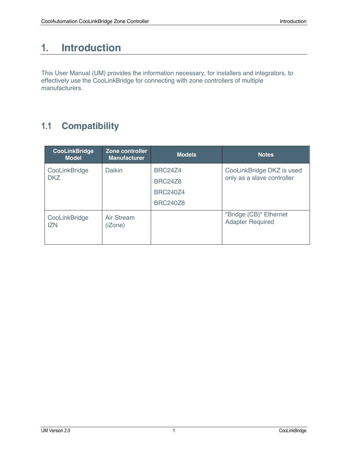# **1. Introduction**

This User Manual (UM) provides the information necessary, for installers and integrators, to effectively use the CooLinkBridge for connecting with zone controllers of multiple manufacturers.

# **1.1 Compatibility**

| <b>CooLinkBridge</b><br><b>Model</b> | Zone controller<br><b>Manufacturer</b> | <b>Models</b>                                                          | <b>Notes</b>                                            |
|--------------------------------------|----------------------------------------|------------------------------------------------------------------------|---------------------------------------------------------|
| CooLinkBridge<br><b>DKZ</b>          | Daikin                                 | <b>BRC24Z4</b><br><b>BRC24Z8</b><br><b>BRC240Z4</b><br><b>BRC240Z8</b> | CooLinkBridge DKZ is used<br>only as a slave controller |
| CooLinkBridge<br><b>IZN</b>          | <b>Air Stream</b><br>(iZone)           |                                                                        | "Bridge (CB)" Ethernet<br><b>Adapter Required</b>       |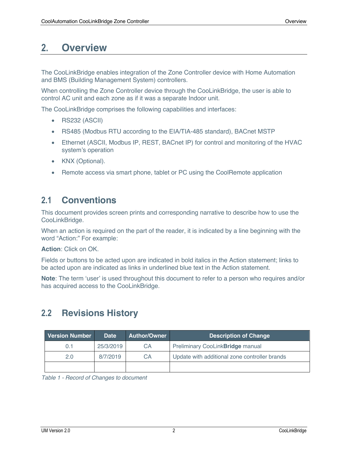# **2. Overview**

The CooLinkBridge enables integration of the Zone Controller device with Home Automation and BMS (Building Management System) controllers.

When controlling the Zone Controller device through the CooLinkBridge, the user is able to control AC unit and each zone as if it was a separate Indoor unit.

The CooLinkBridge comprises the following capabilities and interfaces:

- RS232 (ASCII)
- RS485 (Modbus RTU according to the EIA/TIA-485 standard), BACnet MSTP
- Ethernet (ASCII, Modbus IP, REST, BACnet IP) for control and monitoring of the HVAC system's operation
- KNX (Optional).
- Remote access via smart phone, tablet or PC using the CoolRemote application

### **2.1 Conventions**

This document provides screen prints and corresponding narrative to describe how to use the CooLinkBridge.

When an action is required on the part of the reader, it is indicated by a line beginning with the word "Action:" For example:

**Action**: Click on OK.

Fields or buttons to be acted upon are indicated in bold italics in the Action statement; links to be acted upon are indicated as links in underlined blue text in the Action statement.

**Note**: The term 'user' is used throughout this document to refer to a person who requires and/or has acquired access to the CooLinkBridge.

# **2.2 Revisions History**

|                        | <b>Version Number</b> | <b>Date</b>    | <b>Author/Owner</b>              | <b>Description of Change</b>                  |
|------------------------|-----------------------|----------------|----------------------------------|-----------------------------------------------|
| 25/3/2019<br>СA<br>0.1 |                       |                | Preliminary CooLinkBridge manual |                                               |
|                        | 2.0                   | 8/7/2019<br>CА |                                  | Update with additional zone controller brands |
|                        |                       |                |                                  |                                               |

*Table 1 - Record of Changes to document*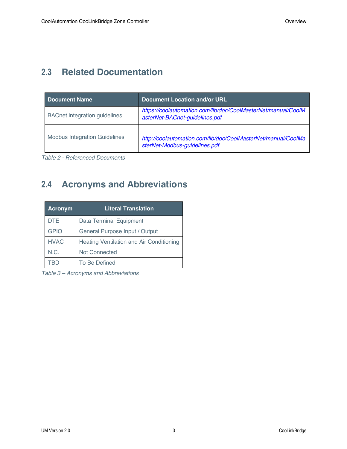## **2.3 Related Documentation**

| <b>Document Name</b>                 | <b>Document Location and/or URL</b>                                                             |
|--------------------------------------|-------------------------------------------------------------------------------------------------|
| <b>BACnet integration guidelines</b> | https://coolautomation.com/lib/doc/CoolMasterNet/manual/CoolM<br>asterNet-BACnet-guidelines.pdf |
| <b>Modbus Integration Guidelines</b> | http://coolautomation.com/lib/doc/CoolMasterNet/manual/CoolMa<br>sterNet-Modbus-guidelines.pdf  |

*Table 2 - Referenced Documents*

# **2.4 Acronyms and Abbreviations**

| <b>Acronym</b> | <b>Literal Translation</b>                      |  |  |
|----------------|-------------------------------------------------|--|--|
| <b>DTE</b>     | <b>Data Terminal Equipment</b>                  |  |  |
| <b>GPIO</b>    | General Purpose Input / Output                  |  |  |
| <b>HVAC</b>    | <b>Heating Ventilation and Air Conditioning</b> |  |  |
| N.C.           | <b>Not Connected</b>                            |  |  |
|                | To Be Defined                                   |  |  |

*Table 3 – Acronyms and Abbreviations*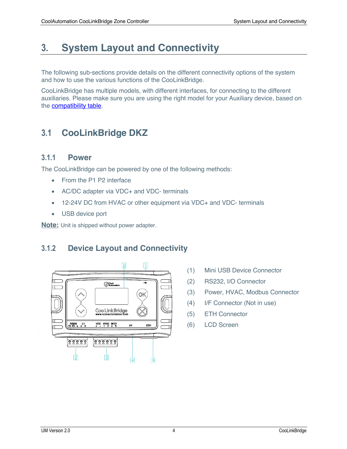# **3. System Layout and Connectivity**

The following sub-sections provide details on the different connectivity options of the system and how to use the various functions of the CooLinkBridge.

CooLinkBridge has multiple models, with different interfaces, for connecting to the different auxiliaries. Please make sure you are using the right model for your Auxiliary device, based on the compatibility table.

# **3.1 CooLinkBridge DKZ**

#### **3.1.1 Power**

The CooLinkBridge can be powered by one of the following methods:

- From the P1 P2 interface
- AC/DC adapter via VDC+ and VDC- terminals
- 12-24V DC from HVAC or other equipment via VDC+ and VDC- terminals
- USB device port

**Note:** Unit is shipped without power adapter.

### **3.1.2 Device Layout and Connectivity**



- (1) Mini USB Device Connector
- (2) RS232, I/O Connector
- (3) Power, HVAC, Modbus Connector
- (4) I/F Connector (Not in use)
- (5) ETH Connector
- (6) LCD Screen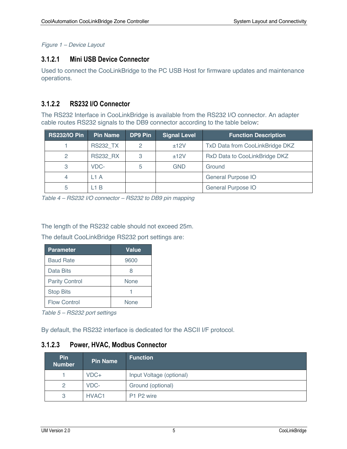*Figure 1 – Device Layout*

#### **3.1.2.1 Mini USB Device Connector**

Used to connect the CooLinkBridge to the PC USB Host for firmware updates and maintenance operations.

### **3.1.2.2 RS232 I/O Connector**

The RS232 Interface in CooLinkBridge is available from the RS232 I/O connector. An adapter cable routes RS232 signals to the DB9 connector according to the table below:

| <b>RS232/IO Pin</b> | Pin Name        | DP9 Pin | <b>Signal Level</b> | <b>Function Description</b>     |
|---------------------|-----------------|---------|---------------------|---------------------------------|
|                     | <b>RS232 TX</b> | 2       | $+12V$              | TxD Data from CooLinkBridge DKZ |
| 2                   | <b>RS232 RX</b> | 3       | ±12V                | RxD Data to CooLinkBridge DKZ   |
| 3                   | VDC-            |         | GND                 | Ground                          |
| 4                   | L1 A            |         |                     | General Purpose IO              |
| 5                   | _1 B            |         |                     | General Purpose IO              |

*Table 4 – RS232 I/O connector – RS232 to DB9 pin mapping* 

The length of the RS232 cable should not exceed 25m.

The default CooLinkBridge RS232 port settings are:

| <b>Parameter</b>      | Value |
|-----------------------|-------|
| <b>Baud Rate</b>      | 9600  |
| Data Bits             | 8     |
| <b>Parity Control</b> | None  |
| <b>Stop Bits</b>      |       |
| <b>Flow Control</b>   | None  |

*Table 5 – RS232 port settings*

By default, the RS232 interface is dedicated for the ASCII I/F protocol.

#### **3.1.2.3 Power, HVAC, Modbus Connector**

| <b>Pin</b><br><b>Number</b> | <b>Pin Name</b>   | <b>Function</b>          |  |
|-----------------------------|-------------------|--------------------------|--|
|                             | $VDC+$            | Input Voltage (optional) |  |
| 2                           | VDC-              | Ground (optional)        |  |
| 3                           | HVAC <sub>1</sub> | P1 P2 wire               |  |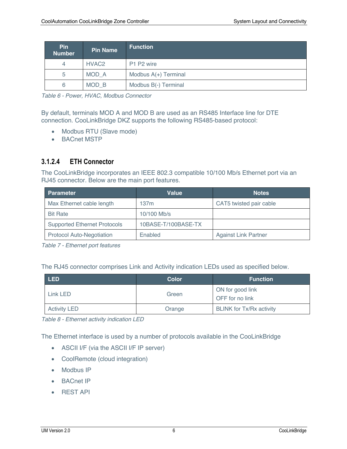| <b>Pin</b><br><b>Number</b> | <b>Pin Name</b>   | <b>Function</b>      |  |
|-----------------------------|-------------------|----------------------|--|
| 4                           | HVAC <sub>2</sub> | P1 P2 wire           |  |
| 5                           | MOD A             | Modbus A(+) Terminal |  |
| 6                           | MOD B             | Modbus B(-) Terminal |  |

*Table 6 - Power, HVAC, Modbus Connector*

By default, terminals MOD A and MOD B are used as an RS485 Interface line for DTE connection. CooLinkBridge DKZ supports the following RS485-based protocol:

- Modbus RTU (Slave mode)
- BACnet MSTP

#### **3.1.2.4 ETH Connector**

The CooLinkBridge incorporates an IEEE 802.3 compatible 10/100 Mb/s Ethernet port via an RJ45 connector. Below are the main port features.

| <b>Parameter</b>                    | Value<br><b>Notes</b> |                             |
|-------------------------------------|-----------------------|-----------------------------|
| Max Ethernet cable length           | 137m                  | CAT5 twisted pair cable     |
| <b>Bit Rate</b>                     | 10/100 Mb/s           |                             |
| <b>Supported Ethernet Protocols</b> | 10BASE-T/100BASE-TX   |                             |
| <b>Protocol Auto-Negotiation</b>    | Enabled               | <b>Against Link Partner</b> |

*Table 7 - Ethernet port features*

The RJ45 connector comprises Link and Activity indication LEDs used as specified below.

| <b>LED</b>          | <b>Color</b> | <b>Function</b>                     |
|---------------------|--------------|-------------------------------------|
| Link LED            | Green        | ON for good link<br>OFF for no link |
| <b>Activity LED</b> | Orange       | <b>BLINK for Tx/Rx activity</b>     |

*Table 8 - Ethernet activity indication LED*

The Ethernet interface is used by a number of protocols available in the CooLinkBridge

- ASCII I/F (via the ASCII I/F IP server)
- CoolRemote (cloud integration)
- Modbus IP
- BACnet IP
- REST API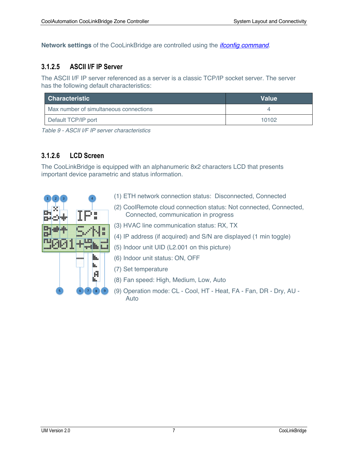**Network settings** of the CooLinkBridge are controlled using the *ifconfig command*.

#### **3.1.2.5 ASCII I/F IP Server**

The ASCII I/F IP server referenced as a server is a classic TCP/IP socket server. The server has the following default characteristics:

| <b>Characteristic</b>                  | <b>Value</b> |
|----------------------------------------|--------------|
| Max number of simultaneous connections |              |
| Default TCP/IP port                    | 10102        |

*Table 9 - ASCII I/F IP server characteristics*

### **3.1.2.6 LCD Screen**

The CooLinkBridge is equipped with an alphanumeric 8x2 characters LCD that presents important device parametric and status information.

| $\overline{1}$<br>3<br>$\overline{2}$ | $\overline{4}$<br>m<br>▄<br>⊞<br>₩ |
|---------------------------------------|------------------------------------|
|                                       | u<br>H<br>٠                        |
| $\sqrt{5}$                            | $\overline{6}$<br>9<br>7<br>8      |

- (1) ETH network connection status: Disconnected, Connected
- (2) CoolRemote cloud connection status: Not connected, Connected, Connected, communication in progress
- (3) HVAC line communication status: RX, TX
- (4) IP address (if acquired) and S/N are displayed (1 min toggle)
- (5) Indoor unit UID (L2.001 on this picture)
- (6) Indoor unit status: ON, OFF
- (7) Set temperature
- (8) Fan speed: High, Medium, Low, Auto
- (9) Operation mode: CL Cool, HT Heat, FA Fan, DR Dry, AU Auto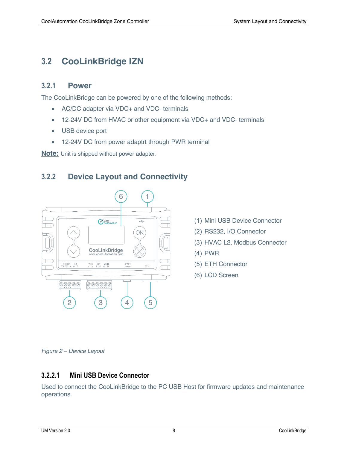## **3.2 CooLinkBridge IZN**

#### **3.2.1 Power**

The CooLinkBridge can be powered by one of the following methods:

- AC/DC adapter via VDC+ and VDC- terminals
- 12-24V DC from HVAC or other equipment via VDC+ and VDC- terminals
- USB device port
- 12-24V DC from power adaptrt through PWR terminal

**Note:** Unit is shipped without power adapter.

### **3.2.2 Device Layout and Connectivity**



- (1) Mini USB Device Connector
- (2) RS232, I/O Connector
- (3) HVAC L2, Modbus Connector
- (4) PWR
- (5) ETH Connector
- (6) LCD Screen

*Figure 2 – Device Layout*

#### **3.2.2.1 Mini USB Device Connector**

Used to connect the CooLinkBridge to the PC USB Host for firmware updates and maintenance operations.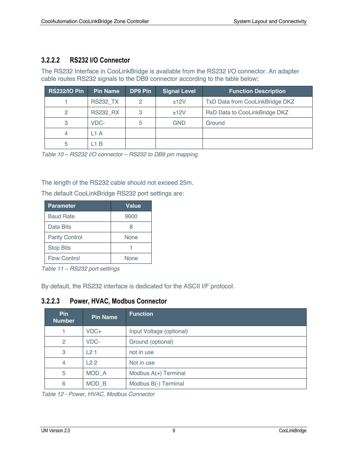#### **3.2.2.2 RS232 I/O Connector**

The RS232 Interface in CooLinkBridge is available from the RS232 I/O connector. An adapter cable routes RS232 signals to the DB9 connector according to the table below:

| <b>RS232/IO Pin</b> | <b>Pin Name</b> | DP9 Pin | <b>Signal Level</b> | <b>Function Description</b>     |
|---------------------|-----------------|---------|---------------------|---------------------------------|
|                     | <b>RS232 TX</b> | 2       | ±12V                | TxD Data from CooLinkBridge DKZ |
| 2                   | <b>RS232 RX</b> | 3       | ±12V                | RxD Data to CooLinkBridge DKZ   |
| 3                   | VDC-            | 5       | GND                 | Ground                          |
| 4                   | _1 A            |         |                     |                                 |
| 5                   | $\overline{AB}$ |         |                     |                                 |

*Table 10 – RS232 I/O connector – RS232 to DB9 pin mapping* 

The length of the RS232 cable should not exceed 25m.

The default CooLinkBridge RS232 port settings are:

| <b>Parameter</b>      | <b>Value</b> |
|-----------------------|--------------|
| <b>Baud Rate</b>      | 9600         |
| Data Bits             | 8            |
| <b>Parity Control</b> | <b>None</b>  |
| <b>Stop Bits</b>      |              |
| <b>Flow Control</b>   | None         |

*Table 11 – RS232 port settings*

By default, the RS232 interface is dedicated for the ASCII I/F protocol.

#### **3.2.2.3 Power, HVAC, Modbus Connector**

| <b>Pin</b><br><b>Number</b> | <b>Pin Name</b> | <b>Function</b>          |
|-----------------------------|-----------------|--------------------------|
|                             | VDC+            | Input Voltage (optional) |
| 2                           | VDC-            | Ground (optional)        |
| 3                           | L21             | not in use               |
| $\overline{4}$              | L22             | Not in use               |
| 5                           | MOD A           | Modbus A(+) Terminal     |
| 6                           | MOD B           | Modbus B(-) Terminal     |

*Table 12 - Power, HVAC, Modbus Connector*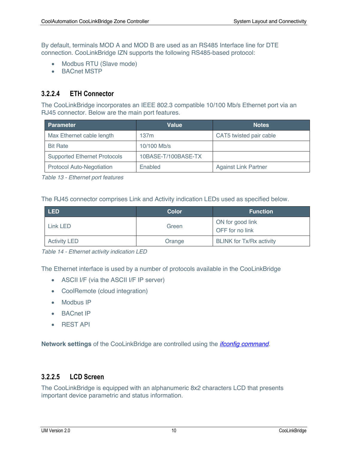By default, terminals MOD A and MOD B are used as an RS485 Interface line for DTE connection. CooLinkBridge IZN supports the following RS485-based protocol:

- Modbus RTU (Slave mode)
- BACnet MSTP

#### **3.2.2.4 ETH Connector**

The CooLinkBridge incorporates an IEEE 802.3 compatible 10/100 Mb/s Ethernet port via an RJ45 connector. Below are the main port features.

| <b>Parameter</b>                    | Value               | <b>Notes</b>                |
|-------------------------------------|---------------------|-----------------------------|
| Max Ethernet cable length           | 137m                | CAT5 twisted pair cable     |
| <b>Bit Rate</b>                     | 10/100 Mb/s         |                             |
| <b>Supported Ethernet Protocols</b> | 10BASE-T/100BASE-TX |                             |
| <b>Protocol Auto-Negotiation</b>    | Enabled             | <b>Against Link Partner</b> |

*Table 13 - Ethernet port features*

The RJ45 connector comprises Link and Activity indication LEDs used as specified below.

| LED <sup>1</sup>    | Color  | <b>Function</b>                     |
|---------------------|--------|-------------------------------------|
| Link LED            | Green  | ON for good link<br>OFF for no link |
| <b>Activity LED</b> | Orange | <b>BLINK for Tx/Rx activity</b>     |

*Table 14 - Ethernet activity indication LED*

The Ethernet interface is used by a number of protocols available in the CooLinkBridge

- ASCII I/F (via the ASCII I/F IP server)
- CoolRemote (cloud integration)
- Modbus IP
- BACnet IP
- REST API

**Network settings** of the CooLinkBridge are controlled using the *ifconfig command*.

#### **3.2.2.5 LCD Screen**

The CooLinkBridge is equipped with an alphanumeric 8x2 characters LCD that presents important device parametric and status information.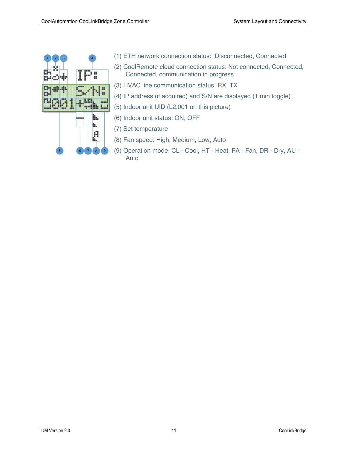| $\overline{1}$<br>$\overline{2}$<br>3<br> | $\overline{4}$<br>m<br>---<br>₽<br>ш |
|-------------------------------------------|--------------------------------------|
|                                           | ---<br>₩<br>₩<br>٠<br>٠              |
| 5 <sub>1</sub>                            | H.<br>$\overline{6}$<br>9<br>7<br>8  |

- (1) ETH network connection status: Disconnected, Connected
- (2) CoolRemote cloud connection status: Not connected, Connected, Connected, communication in progress
- (3) HVAC line communication status: RX, TX
- (4) IP address (if acquired) and S/N are displayed (1 min toggle)
- (5) Indoor unit UID (L2.001 on this picture)
- (6) Indoor unit status: ON, OFF
- (7) Set temperature
- (8) Fan speed: High, Medium, Low, Auto
- (9) Operation mode: CL Cool, HT Heat, FA Fan, DR Dry, AU Auto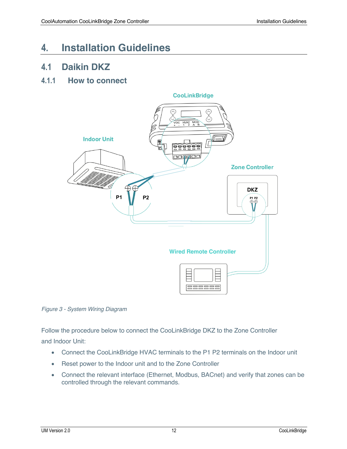# **4. Installation Guidelines**

### **4.1 Daikin DKZ**

### **4.1.1 How to connect**





Follow the procedure below to connect the CooLinkBridge DKZ to the Zone Controller and Indoor Unit:

- Connect the CooLinkBridge HVAC terminals to the P1 P2 terminals on the Indoor unit
- Reset power to the Indoor unit and to the Zone Controller
- Connect the relevant interface (Ethernet, Modbus, BACnet) and verify that zones can be controlled through the relevant commands.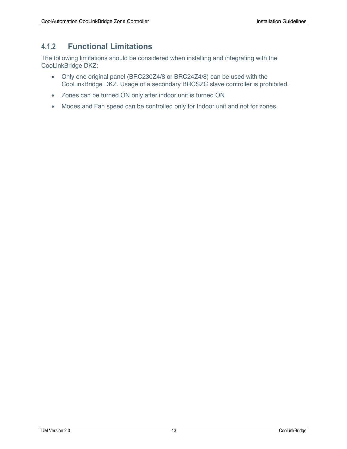### **4.1.2 Functional Limitations**

The following limitations should be considered when installing and integrating with the CooLinkBridge DKZ:

- Only one original panel (BRC230Z4/8 or BRC24Z4/8) can be used with the CooLinkBridge DKZ. Usage of a secondary BRCSZC slave controller is prohibited.
- Zones can be turned ON only after indoor unit is turned ON
- Modes and Fan speed can be controlled only for Indoor unit and not for zones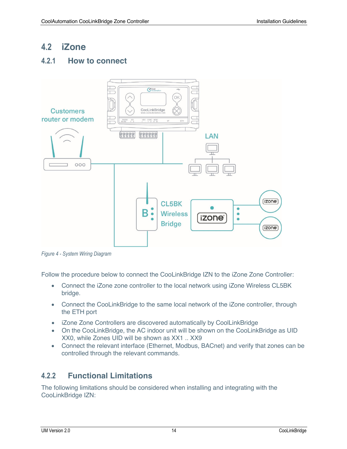### **4.2 iZone**

### **4.2.1 How to connect**



*Figure 4 - System Wiring Diagram*

Follow the procedure below to connect the CooLinkBridge IZN to the iZone Zone Controller:

- Connect the iZone zone controller to the local network using iZone Wireless CL5BK bridge.
- Connect the CooLinkBridge to the same local network of the iZone controller, through the ETH port
- iZone Zone Controllers are discovered automatically by CoolLinkBridge
- On the CooLinkBridge, the AC indoor unit will be shown on the CooLinkBridge as UID XX0, while Zones UID will be shown as XX1 .. XX9
- Connect the relevant interface (Ethernet, Modbus, BACnet) and verify that zones can be controlled through the relevant commands.

### **4.2.2 Functional Limitations**

The following limitations should be considered when installing and integrating with the CooLinkBridge IZN: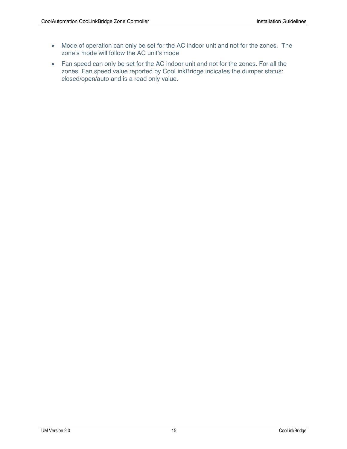- Mode of operation can only be set for the AC indoor unit and not for the zones. The zone's mode will follow the AC unit's mode
- Fan speed can only be set for the AC indoor unit and not for the zones. For all the zones, Fan speed value reported by CooLinkBridge indicates the dumper status: closed/open/auto and is a read only value.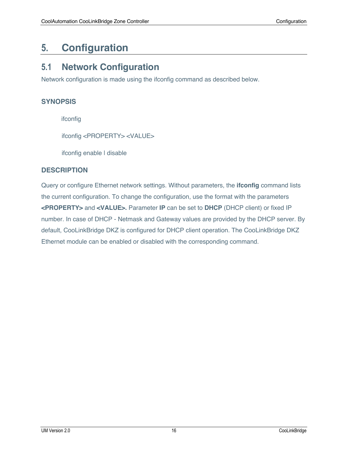# **5. Configuration**

### **5.1 Network Configuration**

Network configuration is made using the ifconfig command as described below.

#### **SYNOPSIS**

ifconfig

ifconfig <PROPERTY> <VALUE>

ifconfig enable I disable

#### **DESCRIPTION**

Query or configure Ethernet network settings. Without parameters, the **ifconfig** command lists the current configuration. To change the configuration, use the format with the parameters **<PROPERTY>** and **<VALUE>.** Parameter **IP** can be set to **DHCP** (DHCP client) or fixed IP number. In case of DHCP - Netmask and Gateway values are provided by the DHCP server. By default, CooLinkBridge DKZ is configured for DHCP client operation. The CooLinkBridge DKZ Ethernet module can be enabled or disabled with the corresponding command.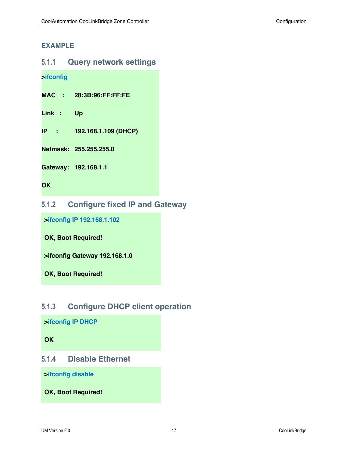#### **EXAMPLE**

#### **5.1.1 Query network settings**

**>ifconfig**

**MAC : 28:3B:96:FF:FF:FE**

**Link : Up**

**IP : 192.168.1.109 (DHCP)**

**Netmask: 255.255.255.0**

**Gateway: 192.168.1.1**

**OK**

#### **5.1.2 Configure fixed IP and Gateway**

**>ifconfig IP 192.168.1.102** 

**OK, Boot Required!** 

**>ifconfig Gateway 192.168.1.0**

**OK, Boot Required!** 

### **5.1.3 Configure DHCP client operation**

**>ifconfig IP DHCP** 

**OK**

#### **5.1.4 Disable Ethernet**

**>ifconfig disable** 

**OK, Boot Required!**